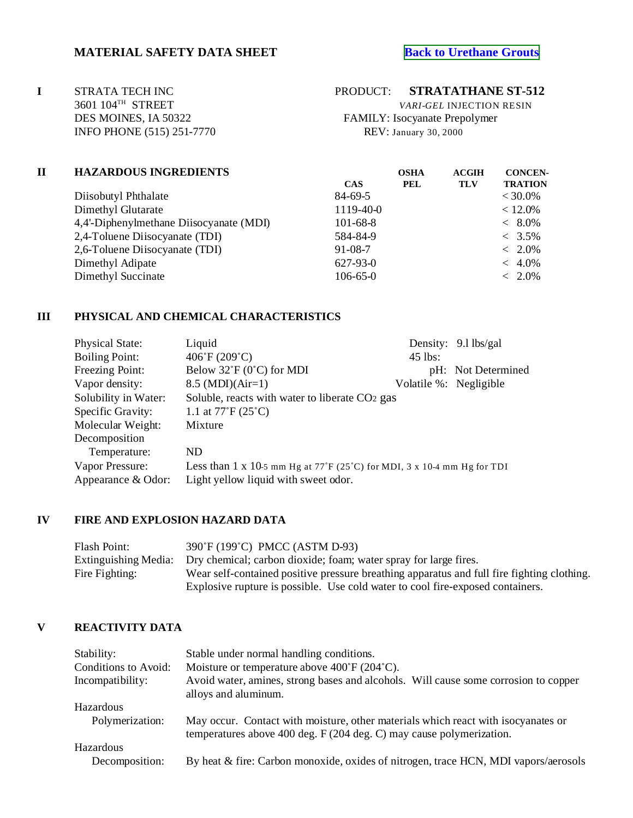# **MATERIAL SAFETY DATA SHEET [Back to Urethane Grouts](http://www.strata-tech.com/urethane.html#512)**

**I** STRATA TECH INC PRODUCT: **STRATATHANE ST-512**<br>3601 104<sup>TH</sup> STREET *VARI-GEL* INJECTION RESIN **INFO PHONE (515) 251-7770 REV: January 30, 2000** 

3601 104TH STREET *VARI-GEL* INJECTION RESIN DES MOINES, IA 50322 FAMILY: Isocyanate Prepolymer

| П | <b>HAZARDOUS INGREDIENTS</b>            | <b>OSHA</b>    | <b>ACGIH</b> | <b>CONCEN-</b> |                |
|---|-----------------------------------------|----------------|--------------|----------------|----------------|
|   |                                         | <b>CAS</b>     | <b>PEL</b>   | TLV            | <b>TRATION</b> |
|   | Diisobutyl Phthalate                    | 84-69-5        |              |                | $< 30.0\%$     |
|   | Dimethyl Glutarate                      | 1119-40-0      |              |                | $< 12.0\%$     |
|   | 4,4'-Diphenylmethane Diisocyanate (MDI) | $101 - 68 - 8$ |              |                | $< 8.0\%$      |
|   | 2,4-Toluene Diisocyanate (TDI)          | 584-84-9       |              |                | $< 3.5\%$      |
|   | 2,6-Toluene Disocyanate (TDI)           | $91 - 08 - 7$  |              |                | $~<~2.0\%$     |
|   | Dimethyl Adipate                        | 627-93-0       |              |                | $~<~4.0\%$     |
|   | Dimethyl Succinate                      | $106 - 65 - 0$ |              |                | $~<~2.0\%$     |
|   |                                         |                |              |                |                |

#### **III PHYSICAL AND CHEMICAL CHARACTERISTICS**

| <b>Physical State:</b> | Liquid                                                                                       |                        | Density: 9.1 lbs/gal |
|------------------------|----------------------------------------------------------------------------------------------|------------------------|----------------------|
| <b>Boiling Point:</b>  | 406°F(209°C)                                                                                 | 45 lbs:                |                      |
| Freezing Point:        | Below $32^{\circ}F(0^{\circ}C)$ for MDI                                                      |                        | pH: Not Determined   |
| Vapor density:         | $8.5 \ (MDI)(Air=1)$                                                                         | Volatile %: Negligible |                      |
| Solubility in Water:   | Soluble, reacts with water to liberate CO2 gas                                               |                        |                      |
| Specific Gravity:      | 1.1 at $77^{\circ}F(25^{\circ}C)$                                                            |                        |                      |
| Molecular Weight:      | Mixture                                                                                      |                        |                      |
| Decomposition          |                                                                                              |                        |                      |
| Temperature:           | ND.                                                                                          |                        |                      |
| Vapor Pressure:        | Less than 1 x 10-5 mm Hg at $77^\circ$ F (25 <sup>°</sup> C) for MDI, 3 x 10-4 mm Hg for TDI |                        |                      |
| Appearance & Odor:     | Light yellow liquid with sweet odor.                                                         |                        |                      |

# **IV FIRE AND EXPLOSION HAZARD DATA**

Flash Point: 390°F (199°C) PMCC (ASTM D-93) Extinguishing Media: Dry chemical; carbon dioxide; foam; water spray for large fires. Fire Fighting: Wear self-contained positive pressure breathing apparatus and full fire fighting clothing. Explosive rupture is possible. Use cold water to cool fire-exposed containers.

### **V REACTIVITY DATA**

| Stability:                  | Stable under normal handling conditions.                                                                                                                  |
|-----------------------------|-----------------------------------------------------------------------------------------------------------------------------------------------------------|
| Conditions to Avoid:        | Moisture or temperature above $400^{\circ}$ F (204 $^{\circ}$ C).                                                                                         |
| Incompatibility:            | Avoid water, amines, strong bases and alcohols. Will cause some corrosion to copper<br>alloys and aluminum.                                               |
| <b>Hazardous</b>            |                                                                                                                                                           |
| Polymerization:             | May occur. Contact with moisture, other materials which react with isocyanates or<br>temperatures above 400 deg. F (204 deg. C) may cause polymerization. |
| Hazardous<br>Decomposition: | By heat & fire: Carbon monoxide, oxides of nitrogen, trace HCN, MDI vapors/aerosols                                                                       |